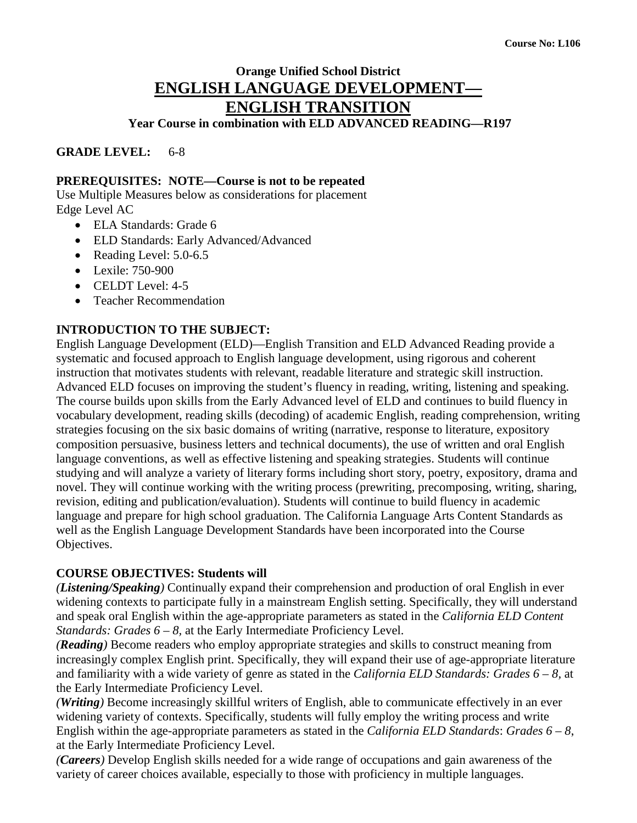# **Orange Unified School District ENGLISH LANGUAGE DEVELOPMENT— ENGLISH TRANSITION**

**Year Course in combination with ELD ADVANCED READING—R197**

**GRADE LEVEL:** 6-8

## **PREREQUISITES: NOTE—Course is not to be repeated**

Use Multiple Measures below as considerations for placement Edge Level AC

- ELA Standards: Grade 6
- ELD Standards: Early Advanced/Advanced
- Reading Level: 5.0-6.5
- Lexile: 750-900
- CELDT Level: 4-5
- Teacher Recommendation

## **INTRODUCTION TO THE SUBJECT:**

English Language Development (ELD)—English Transition and ELD Advanced Reading provide a systematic and focused approach to English language development, using rigorous and coherent instruction that motivates students with relevant, readable literature and strategic skill instruction. Advanced ELD focuses on improving the student's fluency in reading, writing, listening and speaking. The course builds upon skills from the Early Advanced level of ELD and continues to build fluency in vocabulary development, reading skills (decoding) of academic English, reading comprehension, writing strategies focusing on the six basic domains of writing (narrative, response to literature, expository composition persuasive, business letters and technical documents), the use of written and oral English language conventions, as well as effective listening and speaking strategies. Students will continue studying and will analyze a variety of literary forms including short story, poetry, expository, drama and novel. They will continue working with the writing process (prewriting, precomposing, writing, sharing, revision, editing and publication/evaluation). Students will continue to build fluency in academic language and prepare for high school graduation. The California Language Arts Content Standards as well as the English Language Development Standards have been incorporated into the Course Objectives.

### **COURSE OBJECTIVES: Students will**

*(Listening/Speaking)* Continually expand their comprehension and production of oral English in ever widening contexts to participate fully in a mainstream English setting. Specifically, they will understand and speak oral English within the age-appropriate parameters as stated in the *California ELD Content Standards: Grades 6 – 8, at the Early Intermediate Proficiency Level.* 

*(Reading)* Become readers who employ appropriate strategies and skills to construct meaning from increasingly complex English print. Specifically, they will expand their use of age-appropriate literature and familiarity with a wide variety of genre as stated in the *California ELD Standards: Grades 6 – 8,* at the Early Intermediate Proficiency Level.

*(Writing)* Become increasingly skillful writers of English, able to communicate effectively in an ever widening variety of contexts. Specifically, students will fully employ the writing process and write English within the age-appropriate parameters as stated in the *California ELD Standards*: *Grades 6 – 8*, at the Early Intermediate Proficiency Level.

*(Careers)* Develop English skills needed for a wide range of occupations and gain awareness of the variety of career choices available, especially to those with proficiency in multiple languages.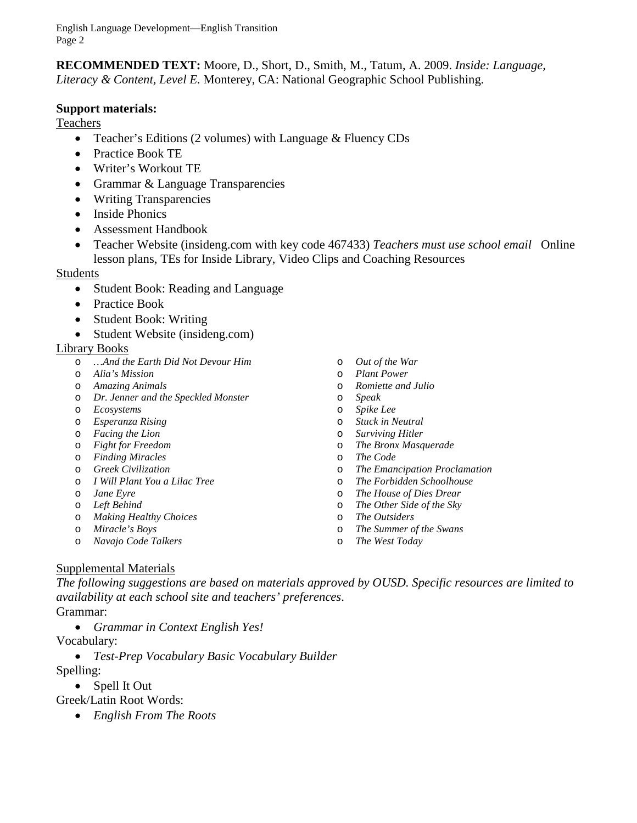**RECOMMENDED TEXT:** Moore, D., Short, D., Smith, M., Tatum, A. 2009. *Inside: Language, Literacy & Content, Level E.* Monterey, CA: National Geographic School Publishing.

## **Support materials:**

Teachers

- Teacher's Editions (2 volumes) with Language & Fluency CDs
- Practice Book TE
- Writer's Workout TE
- Grammar & Language Transparencies
- Writing Transparencies
- Inside Phonics
- Assessment Handbook
- Teacher Website (insideng.com with key code 467433) *Teachers must use school email* Online lesson plans, TEs for Inside Library, Video Clips and Coaching Resources

#### Students

- Student Book: Reading and Language
- Practice Book
- Student Book: Writing
- Student Website (insideng.com)

#### Library Books

- o *…And the Earth Did Not Devour Him*
- o *Alia's Mission*
- o *Amazing Animals*
- o *Dr. Jenner and the Speckled Monster*
- o *Ecosystems*
- o *Esperanza Rising*
- o *Facing the Lion*
- o *Fight for Freedom*
- o *Finding Miracles*
- o *Greek Civilization*
- o *I Will Plant You a Lilac Tree*
- o *Jane Eyre*
- o *Left Behind*
- o *Making Healthy Choices*
- o *Miracle's Boys*
- o *Navajo Code Talkers*
- o *Out of the War*
- o *Plant Power*
- o *Romiette and Julio*
- o *Speak*
- o *Spike Lee*
- o *Stuck in Neutral*
- **Surviving Hitler**
- o *The Bronx Masquerade*
- o *The Code*
- o *The Emancipation Proclamation*
- o *The Forbidden Schoolhouse*
- **The House of Dies Drear**
- o *The Other Side of the Sky*
- o *The Outsiders*
- o *The Summer of the Swans*
- o *The West Today*

### Supplemental Materials

*The following suggestions are based on materials approved by OUSD. Specific resources are limited to availability at each school site and teachers' preferences*.

- Grammar:
	- *Grammar in Context English Yes!*

Vocabulary:

• *Test-Prep Vocabulary Basic Vocabulary Builder*

Spelling:

- Spell It Out
- Greek/Latin Root Words:
	- *English From The Roots*
- 
- 
- 
- 
- 
-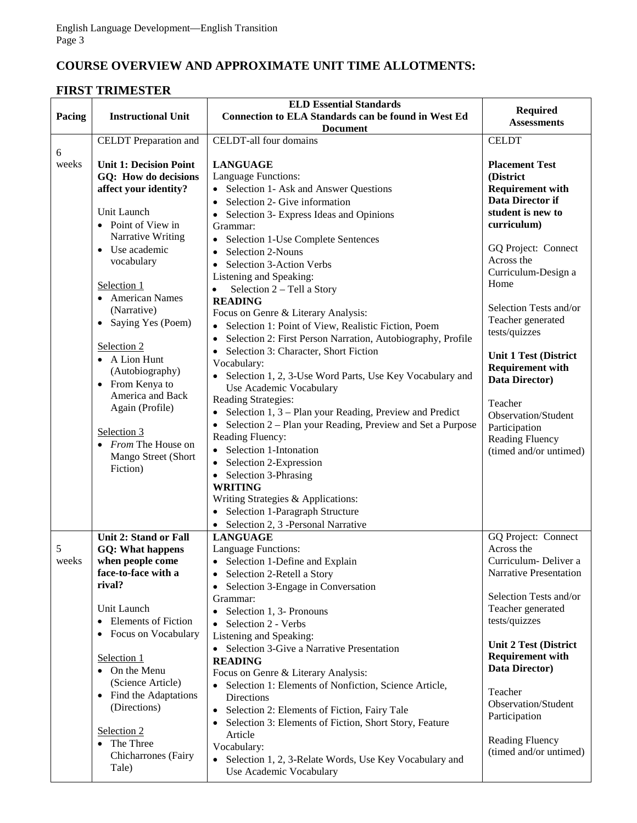# **COURSE OVERVIEW AND APPROXIMATE UNIT TIME ALLOTMENTS:**

## **FIRST TRIMESTER**

| Pacing     | <b>Instructional Unit</b>                             | <b>ELD Essential Standards</b><br>Connection to ELA Standards can be found in West Ed        | <b>Required</b>                           |
|------------|-------------------------------------------------------|----------------------------------------------------------------------------------------------|-------------------------------------------|
|            |                                                       | <b>Document</b>                                                                              | <b>Assessments</b>                        |
|            | <b>CELDT</b> Preparation and                          | CELDT-all four domains                                                                       | <b>CELDT</b>                              |
| 6<br>weeks | <b>Unit 1: Decision Point</b><br>GQ: How do decisions | <b>LANGUAGE</b><br>Language Functions:                                                       | <b>Placement Test</b><br>(District        |
|            | affect your identity?                                 | • Selection 1- Ask and Answer Questions                                                      | <b>Requirement with</b>                   |
|            | Unit Launch                                           | • Selection 2- Give information                                                              | Data Director if<br>student is new to     |
|            | • Point of View in                                    | Selection 3- Express Ideas and Opinions<br>Grammar:                                          | curriculum)                               |
|            | Narrative Writing                                     | • Selection 1-Use Complete Sentences                                                         |                                           |
|            | • Use academic                                        | Selection 2-Nouns                                                                            | GQ Project: Connect                       |
|            | vocabulary                                            | Selection 3-Action Verbs<br>$\bullet$                                                        | Across the                                |
|            |                                                       | Listening and Speaking:                                                                      | Curriculum-Design a<br>Home               |
|            | Selection 1<br>• American Names                       | Selection 2 – Tell a Story                                                                   |                                           |
|            | (Narrative)                                           | <b>READING</b>                                                                               | Selection Tests and/or                    |
|            | • Saying Yes (Poem)                                   | Focus on Genre & Literary Analysis:<br>• Selection 1: Point of View, Realistic Fiction, Poem | Teacher generated                         |
|            |                                                       | Selection 2: First Person Narration, Autobiography, Profile                                  | tests/quizzes                             |
|            | Selection 2                                           | Selection 3: Character, Short Fiction                                                        | <b>Unit 1 Test (District</b>              |
|            | • A Lion Hunt                                         | Vocabulary:                                                                                  | <b>Requirement with</b>                   |
|            | (Autobiography)<br>• From Kenya to                    | • Selection 1, 2, 3-Use Word Parts, Use Key Vocabulary and                                   | <b>Data Director</b> )                    |
|            | America and Back                                      | Use Academic Vocabulary                                                                      |                                           |
|            | Again (Profile)                                       | Reading Strategies:<br>• Selection $1, 3$ – Plan your Reading, Preview and Predict           | Teacher                                   |
|            |                                                       | • Selection 2 – Plan your Reading, Preview and Set a Purpose                                 | Observation/Student                       |
|            | Selection 3                                           | Reading Fluency:                                                                             | Participation<br>Reading Fluency          |
|            | • From The House on                                   | • Selection 1-Intonation                                                                     | (timed and/or untimed)                    |
|            | Mango Street (Short<br>Fiction)                       | • Selection 2-Expression                                                                     |                                           |
|            |                                                       | • Selection 3-Phrasing                                                                       |                                           |
|            |                                                       | <b>WRITING</b>                                                                               |                                           |
|            |                                                       | Writing Strategies & Applications:<br>• Selection 1-Paragraph Structure                      |                                           |
|            |                                                       | • Selection 2, 3 -Personal Narrative                                                         |                                           |
|            | <b>Unit 2: Stand or Fall</b>                          | <b>LANGUAGE</b>                                                                              | GQ Project: Connect                       |
| 5          | <b>GQ: What happens</b>                               | Language Functions:                                                                          | Across the                                |
| weeks      | when people come                                      | • Selection 1-Define and Explain                                                             | Curriculum - Deliver a                    |
|            | face-to-face with a                                   | • Selection 2-Retell a Story                                                                 | Narrative Presentation                    |
|            | rival?                                                | Selection 3-Engage in Conversation<br>$\bullet$<br>Grammar:                                  | Selection Tests and/or                    |
|            | Unit Launch                                           | • Selection 1, 3- Pronouns                                                                   | Teacher generated                         |
|            | <b>Elements of Fiction</b>                            | • Selection 2 - Verbs                                                                        | tests/quizzes                             |
|            | Focus on Vocabulary                                   | Listening and Speaking:                                                                      |                                           |
|            |                                                       | • Selection 3-Give a Narrative Presentation                                                  | <b>Unit 2 Test (District</b>              |
|            | Selection 1<br>• On the Menu                          | <b>READING</b>                                                                               | <b>Requirement with</b><br>Data Director) |
|            | (Science Article)                                     | Focus on Genre & Literary Analysis:                                                          |                                           |
|            | • Find the Adaptations                                | • Selection 1: Elements of Nonfiction, Science Article,<br>Directions                        | Teacher                                   |
|            | (Directions)                                          | Selection 2: Elements of Fiction, Fairy Tale<br>$\bullet$                                    | Observation/Student                       |
|            |                                                       | Selection 3: Elements of Fiction, Short Story, Feature                                       | Participation                             |
|            | Selection 2                                           | Article                                                                                      | <b>Reading Fluency</b>                    |
|            | The Three<br>$\bullet$<br>Chicharrones (Fairy         | Vocabulary:                                                                                  | (timed and/or untimed)                    |
|            | Tale)                                                 | • Selection 1, 2, 3-Relate Words, Use Key Vocabulary and<br>Use Academic Vocabulary          |                                           |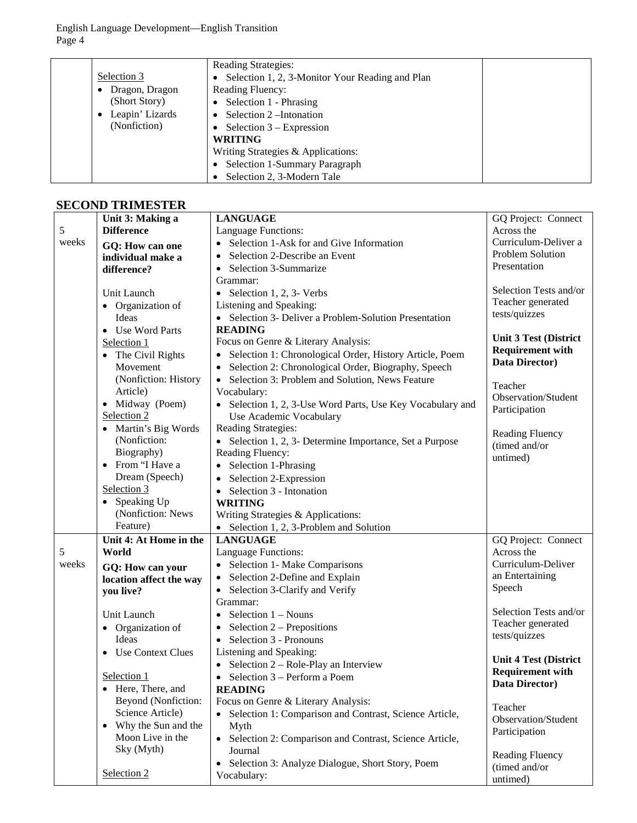|                 | <b>Reading Strategies:</b>                      |
|-----------------|-------------------------------------------------|
| Selection 3     | Selection 1, 2, 3-Monitor Your Reading and Plan |
| Dragon, Dragon  | <b>Reading Fluency:</b>                         |
| (Short Story)   | • Selection $1$ - Phrasing                      |
| Leapin' Lizards | Selection 2-Intonation                          |
| (Nonfiction)    | • Selection $3 -$ Expression                    |
|                 | <b>WRITING</b>                                  |
|                 | Writing Strategies & Applications:              |
|                 | Selection 1-Summary Paragraph                   |
|                 | Selection 2, 3-Modern Tale                      |

# **SECOND TRIMESTER**

|       | Unit 3: Making a        | <b>LANGUAGE</b>                                                     | GQ Project: Connect          |
|-------|-------------------------|---------------------------------------------------------------------|------------------------------|
| 5     | <b>Difference</b>       | Language Functions:                                                 | Across the                   |
| weeks | GQ: How can one         | Selection 1-Ask for and Give Information                            | Curriculum-Deliver a         |
|       | individual make a       | Selection 2-Describe an Event                                       | Problem Solution             |
|       | difference?             | Selection 3-Summarize                                               | Presentation                 |
|       |                         | Grammar:                                                            |                              |
|       | Unit Launch             | • Selection 1, 2, 3- Verbs                                          | Selection Tests and/or       |
|       | • Organization of       | Listening and Speaking:                                             | Teacher generated            |
|       | Ideas                   | • Selection 3- Deliver a Problem-Solution Presentation              | tests/quizzes                |
|       | • Use Word Parts        | <b>READING</b>                                                      |                              |
|       | Selection 1             | Focus on Genre & Literary Analysis:                                 | <b>Unit 3 Test (District</b> |
|       | • The Civil Rights      | • Selection 1: Chronological Order, History Article, Poem           | <b>Requirement with</b>      |
|       | Movement                | Selection 2: Chronological Order, Biography, Speech                 | Data Director)               |
|       | (Nonfiction: History    | • Selection 3: Problem and Solution, News Feature                   |                              |
|       | Article)                | Vocabulary:                                                         | Teacher                      |
|       | • Midway (Poem)         | • Selection 1, 2, 3-Use Word Parts, Use Key Vocabulary and          | Observation/Student          |
|       | Selection 2             | Use Academic Vocabulary                                             | Participation                |
|       | • Martin's Big Words    | Reading Strategies:                                                 | <b>Reading Fluency</b>       |
|       | (Nonfiction:            | • Selection 1, 2, 3- Determine Importance, Set a Purpose            | (timed and/or                |
|       | Biography)              | Reading Fluency:                                                    | untimed)                     |
|       | • From "I Have a        | • Selection 1-Phrasing                                              |                              |
|       | Dream (Speech)          | • Selection 2-Expression                                            |                              |
|       | Selection 3             | $\bullet$ Selection 3 - Intonation                                  |                              |
|       | • Speaking Up           | <b>WRITING</b>                                                      |                              |
|       | (Nonfiction: News       | Writing Strategies & Applications:                                  |                              |
|       | Feature)                | • Selection 1, 2, 3-Problem and Solution                            |                              |
|       | Unit 4: At Home in the  | <b>LANGUAGE</b>                                                     | GQ Project: Connect          |
| 5     | World                   | Language Functions:                                                 | Across the                   |
| weeks | GQ: How can your        | • Selection 1- Make Comparisons                                     | Curriculum-Deliver           |
|       | location affect the way | • Selection 2-Define and Explain                                    | an Entertaining              |
|       | you live?               | • Selection 3-Clarify and Verify                                    | Speech                       |
|       |                         | Grammar:                                                            |                              |
|       | Unit Launch             | • Selection $1 - Nouns$                                             | Selection Tests and/or       |
|       | • Organization of       | • Selection $2$ – Prepositions                                      | Teacher generated            |
|       | Ideas                   | $\bullet$ Selection 3 - Pronouns                                    | tests/quizzes                |
|       | • Use Context Clues     | Listening and Speaking:                                             | <b>Unit 4 Test (District</b> |
|       |                         | • Selection $2 - \text{Role-Play}$ an Interview                     | <b>Requirement with</b>      |
|       | Selection 1             | Selection 3 – Perform a Poem                                        | Data Director)               |
|       | • Here, There, and      | <b>READING</b>                                                      |                              |
|       | Beyond (Nonfiction:     | Focus on Genre & Literary Analysis:                                 | Teacher                      |
|       | Science Article)        | Selection 1: Comparison and Contrast, Science Article,<br>$\bullet$ | Observation/Student          |
|       | • Why the Sun and the   | Myth                                                                | Participation                |
|       | Moon Live in the        | • Selection 2: Comparison and Contrast, Science Article,            |                              |
|       | Sky (Myth)              | Journal                                                             | Reading Fluency              |
|       |                         | Selection 3: Analyze Dialogue, Short Story, Poem<br>$\bullet$       | (timed and/or                |
|       | Selection 2             | Vocabulary:                                                         | untimed)                     |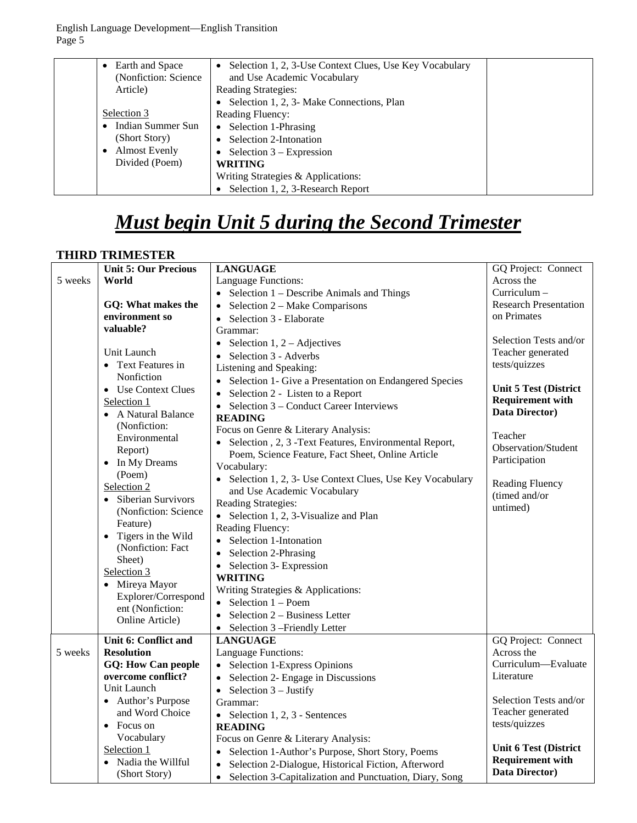| Earth and Space<br>(Nonfiction: Science) | Selection 1, 2, 3-Use Context Clues, Use Key Vocabulary<br>$\bullet$<br>and Use Academic Vocabulary |  |
|------------------------------------------|-----------------------------------------------------------------------------------------------------|--|
| Article)                                 | <b>Reading Strategies:</b>                                                                          |  |
|                                          | Selection 1, 2, 3- Make Connections, Plan                                                           |  |
| Selection 3                              | <b>Reading Fluency:</b>                                                                             |  |
| Indian Summer Sun                        | • Selection 1-Phrasing                                                                              |  |
| (Short Story)                            | Selection 2-Intonation                                                                              |  |
| <b>Almost Evenly</b>                     | Selection $3 -$ Expression                                                                          |  |
| Divided (Poem)                           | <b>WRITING</b>                                                                                      |  |
|                                          | Writing Strategies & Applications:                                                                  |  |
|                                          | Selection 1, 2, 3-Research Report                                                                   |  |

# *Must begin Unit 5 during the Second Trimester*

## **THIRD TRIMESTER**

|         | <b>Unit 5: Our Precious</b>     | <b>LANGUAGE</b>                                                      | GQ Project: Connect          |
|---------|---------------------------------|----------------------------------------------------------------------|------------------------------|
| 5 weeks | World                           | Language Functions:                                                  | Across the                   |
|         |                                 | • Selection $1 -$ Describe Animals and Things                        | Curriculum-                  |
|         | GQ: What makes the              | Selection 2 – Make Comparisons<br>$\bullet$                          | <b>Research Presentation</b> |
|         | environment so                  | Selection 3 - Elaborate<br>$\bullet$                                 | on Primates                  |
|         | valuable?                       | Grammar:                                                             |                              |
|         |                                 | Selection $1, 2 -$ Adjectives<br>$\bullet$                           | Selection Tests and/or       |
|         | Unit Launch                     | Selection 3 - Adverbs<br>$\bullet$                                   | Teacher generated            |
|         | • Text Features in              | Listening and Speaking:                                              | tests/quizzes                |
|         | Nonfiction                      | • Selection 1- Give a Presentation on Endangered Species             |                              |
|         | • Use Context Clues             | Selection 2 - Listen to a Report<br>$\bullet$                        | <b>Unit 5 Test (District</b> |
|         | Selection 1                     | Selection 3 - Conduct Career Interviews<br>$\bullet$                 | <b>Requirement with</b>      |
|         | • A Natural Balance             | <b>READING</b>                                                       | Data Director)               |
|         | (Nonfiction:                    | Focus on Genre & Literary Analysis:                                  |                              |
|         | Environmental                   | Selection, 2, 3 - Text Features, Environmental Report,               | Teacher                      |
|         | Report)                         | Poem, Science Feature, Fact Sheet, Online Article                    | Observation/Student          |
|         | In My Dreams<br>$\bullet$       | Vocabulary:                                                          | Participation                |
|         | (Poem)                          | • Selection 1, 2, 3- Use Context Clues, Use Key Vocabulary           |                              |
|         | Selection 2                     | and Use Academic Vocabulary                                          | Reading Fluency              |
|         | Siberian Survivors<br>$\bullet$ | <b>Reading Strategies:</b>                                           | (timed and/or                |
|         | (Nonfiction: Science            | • Selection 1, 2, 3-Visualize and Plan                               | untimed)                     |
|         | Feature)                        | Reading Fluency:                                                     |                              |
|         | Tigers in the Wild<br>$\bullet$ | Selection 1-Intonation                                               |                              |
|         | (Nonfiction: Fact               | Selection 2-Phrasing<br>$\bullet$                                    |                              |
|         | Sheet)                          | Selection 3- Expression<br>$\bullet$                                 |                              |
|         | Selection 3                     | <b>WRITING</b>                                                       |                              |
|         | • Mireya Mayor                  | Writing Strategies & Applications:                                   |                              |
|         | Explorer/Correspond             | $\bullet$ Selection 1 – Poem                                         |                              |
|         | ent (Nonfiction:                | Selection 2 – Business Letter<br>$\bullet$                           |                              |
|         | Online Article)                 | • Selection 3 – Friendly Letter                                      |                              |
|         | Unit 6: Conflict and            | <b>LANGUAGE</b>                                                      | GQ Project: Connect          |
| 5 weeks | <b>Resolution</b>               | Language Functions:                                                  | Across the                   |
|         | <b>GQ: How Can people</b>       | • Selection 1-Express Opinions                                       | Curriculum-Evaluate          |
|         | overcome conflict?              | Selection 2- Engage in Discussions                                   | Literature                   |
|         | Unit Launch                     | Selection 3 - Justify<br>$\bullet$                                   |                              |
|         | • Author's Purpose              | Grammar:                                                             | Selection Tests and/or       |
|         | and Word Choice                 | • Selection 1, 2, 3 - Sentences                                      | Teacher generated            |
|         | • Focus on                      | <b>READING</b>                                                       | tests/quizzes                |
|         | Vocabulary                      | Focus on Genre & Literary Analysis:                                  |                              |
|         | Selection 1                     | • Selection 1-Author's Purpose, Short Story, Poems                   | <b>Unit 6 Test (District</b> |
|         | Nadia the Willful               | Selection 2-Dialogue, Historical Fiction, Afterword<br>$\bullet$     | <b>Requirement with</b>      |
|         | (Short Story)                   | Selection 3-Capitalization and Punctuation, Diary, Song<br>$\bullet$ | Data Director)               |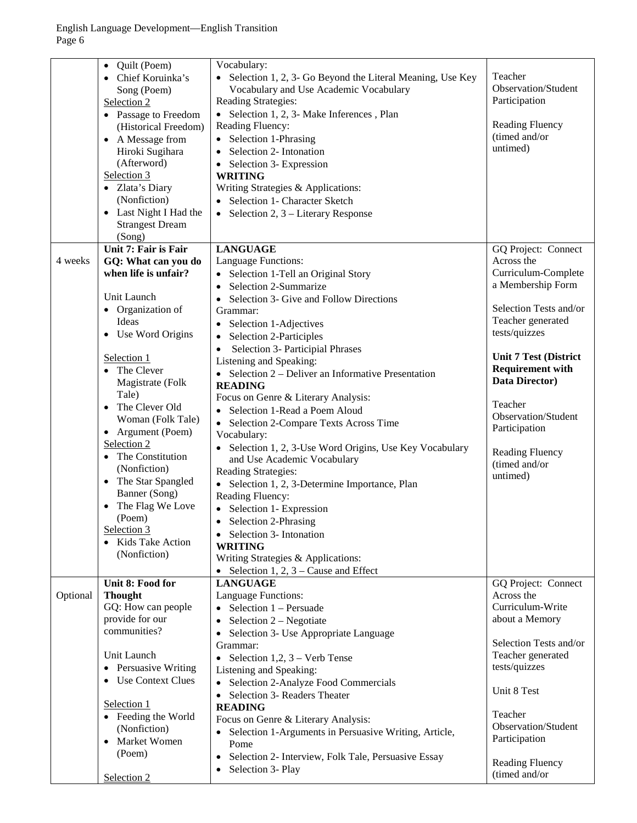|          | Quilt (Poem)<br>$\bullet$<br>Chief Koruinka's<br>Song (Poem)<br>Selection 2<br>• Passage to Freedom<br>(Historical Freedom)<br>A Message from<br>$\bullet$<br>Hiroki Sugihara<br>(Afterword)<br>Selection 3 | Vocabulary:<br>Selection 1, 2, 3- Go Beyond the Literal Meaning, Use Key<br>$\bullet$<br>Vocabulary and Use Academic Vocabulary<br>Reading Strategies:<br>• Selection 1, 2, 3- Make Inferences, Plan<br>Reading Fluency:<br>Selection 1-Phrasing<br>$\bullet$<br>Selection 2- Intonation<br>Selection 3- Expression<br>$\bullet$<br><b>WRITING</b> | Teacher<br>Observation/Student<br>Participation<br><b>Reading Fluency</b><br>(timed and/or<br>untimed)                                        |
|----------|-------------------------------------------------------------------------------------------------------------------------------------------------------------------------------------------------------------|----------------------------------------------------------------------------------------------------------------------------------------------------------------------------------------------------------------------------------------------------------------------------------------------------------------------------------------------------|-----------------------------------------------------------------------------------------------------------------------------------------------|
|          | • Zlata's Diary<br>(Nonfiction)<br>Last Night I Had the<br>$\bullet$<br><b>Strangest Dream</b><br>(Song)                                                                                                    | Writing Strategies & Applications:<br>Selection 1- Character Sketch<br>Selection 2, 3 – Literary Response<br>$\bullet$                                                                                                                                                                                                                             |                                                                                                                                               |
| 4 weeks  | Unit 7: Fair is Fair<br>GQ: What can you do<br>when life is unfair?<br>Unit Launch<br>• Organization of<br>Ideas                                                                                            | <b>LANGUAGE</b><br>Language Functions:<br>Selection 1-Tell an Original Story<br>Selection 2-Summarize<br>Selection 3- Give and Follow Directions<br>Grammar:<br>Selection 1-Adjectives                                                                                                                                                             | GQ Project: Connect<br>Across the<br>Curriculum-Complete<br>a Membership Form<br>Selection Tests and/or<br>Teacher generated<br>tests/quizzes |
|          | Use Word Origins<br>$\bullet$<br>Selection 1<br>• The Clever<br>Magistrate (Folk<br>Tale)<br>The Clever Old<br>$\bullet$                                                                                    | Selection 2-Participles<br>Selection 3- Participial Phrases<br>Listening and Speaking:<br>• Selection $2$ – Deliver an Informative Presentation<br><b>READING</b><br>Focus on Genre & Literary Analysis:                                                                                                                                           | <b>Unit 7 Test (District</b><br><b>Requirement with</b><br>Data Director)<br>Teacher                                                          |
|          | Woman (Folk Tale)<br>• Argument (Poem)<br>Selection 2<br>• The Constitution<br>(Nonfiction)<br>• The Star Spangled<br>Banner (Song)                                                                         | Selection 1-Read a Poem Aloud<br>• Selection 2-Compare Texts Across Time<br>Vocabulary:<br>Selection 1, 2, 3-Use Word Origins, Use Key Vocabulary<br>and Use Academic Vocabulary<br>Reading Strategies:<br>• Selection 1, 2, 3-Determine Importance, Plan                                                                                          | Observation/Student<br>Participation<br><b>Reading Fluency</b><br>(timed and/or<br>untimed)                                                   |
|          | The Flag We Love<br>$\bullet$<br>(Poem)<br>Selection 3<br>• Kids Take Action<br>(Nonfiction)                                                                                                                | Reading Fluency:<br>• Selection 1- Expression<br>Selection 2-Phrasing<br>Selection 3- Intonation<br><b>WRITING</b><br>Writing Strategies & Applications:<br>Selection 1, 2, $3$ – Cause and Effect                                                                                                                                                 |                                                                                                                                               |
| Optional | Unit 8: Food for<br><b>Thought</b><br>GQ: How can people<br>provide for our<br>communities?                                                                                                                 | <b>LANGUAGE</b><br>Language Functions:<br>Selection 1 - Persuade<br>$\bullet$<br>Selection 2 - Negotiate<br>$\bullet$<br>Selection 3- Use Appropriate Language<br>$\bullet$                                                                                                                                                                        | GQ Project: Connect<br>Across the<br>Curriculum-Write<br>about a Memory                                                                       |
|          | Unit Launch<br>Persuasive Writing<br>$\bullet$<br><b>Use Context Clues</b><br>$\bullet$                                                                                                                     | Grammar:<br>Selection 1,2, $3$ – Verb Tense<br>$\bullet$<br>Listening and Speaking:<br>Selection 2-Analyze Food Commercials<br>$\bullet$<br>Selection 3- Readers Theater<br>$\bullet$                                                                                                                                                              | Selection Tests and/or<br>Teacher generated<br>tests/quizzes<br>Unit 8 Test                                                                   |
|          | Selection 1<br>• Feeding the World<br>(Nonfiction)<br>Market Women<br>$\bullet$<br>(Poem)                                                                                                                   | <b>READING</b><br>Focus on Genre & Literary Analysis:<br>Selection 1-Arguments in Persuasive Writing, Article,<br>$\bullet$<br>Pome<br>Selection 2- Interview, Folk Tale, Persuasive Essay<br>$\bullet$                                                                                                                                            | Teacher<br>Observation/Student<br>Participation                                                                                               |
|          | Selection 2                                                                                                                                                                                                 | Selection 3- Play<br>$\bullet$                                                                                                                                                                                                                                                                                                                     | <b>Reading Fluency</b><br>(timed and/or                                                                                                       |